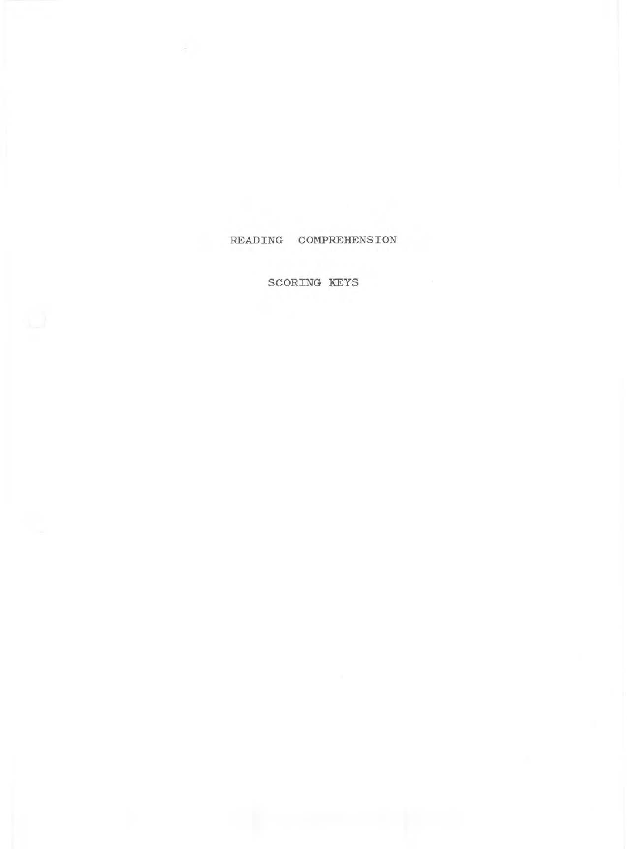#### READING COMPREHENSION

SCORING KEYS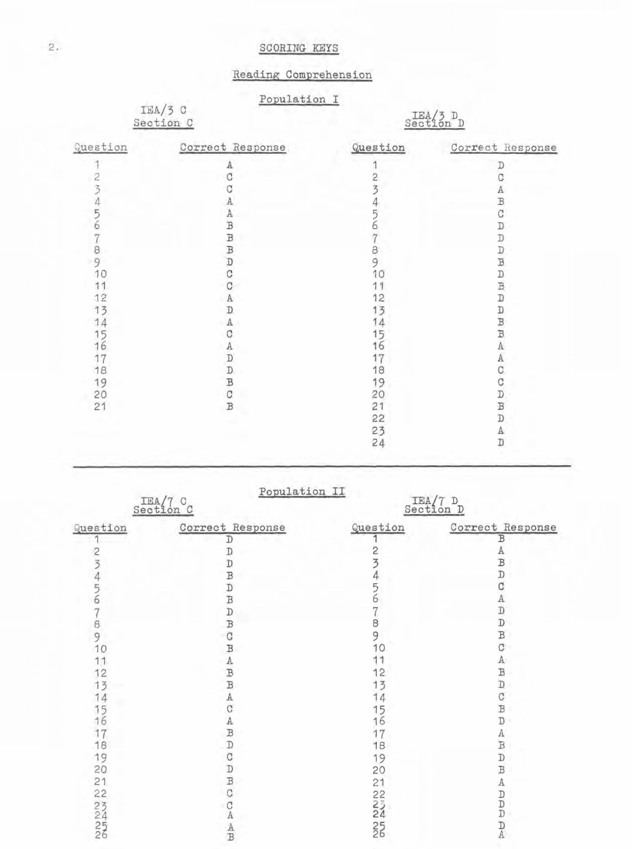## SCORING KEYS

# Reading Comprehension

Population I

IEA/3 C<br>Section C

 $\frac{\text{IEA}}{\text{Section D}}$ 

| Question | Correct Response                             | Question | Correct Response   |
|----------|----------------------------------------------|----------|--------------------|
|          | А                                            |          | D                  |
|          | Ć                                            | 2        |                    |
|          |                                              |          | Α                  |
|          | Α                                            |          | B                  |
| 5        | Α                                            |          | C                  |
| 6        | B                                            |          | D                  |
|          | $\,$ B                                       |          |                    |
| 8        |                                              | 8        | コロヨ                |
| 9        | B<br>D                                       | 9        |                    |
| 10       | C                                            | 10       | D                  |
| 11       | Ć                                            |          | B<br>D             |
| 12       | Α                                            | 12       |                    |
| 13       | D                                            | 13       |                    |
| 14       | Α                                            |          | <b>D</b><br>B<br>B |
| 15       |                                              | 5        |                    |
| 16       |                                              | 6        | Α                  |
| 17       | $\begin{array}{c}\nA \\ D \\ D\n\end{array}$ |          | А                  |
| 18       |                                              | 18       | C.                 |
| 19       |                                              | 19       | С                  |
| 20       | B<br>C<br>B                                  | 20       | D                  |
| 21       |                                              | 21       | B                  |
|          |                                              | 22       | D                  |
|          |                                              | 23       | Α                  |
|          |                                              | 24       | D                  |

|                                       | Population II<br>Section C      | Section D |                                                       |
|---------------------------------------|---------------------------------|-----------|-------------------------------------------------------|
| Question                              | Correct Response                | Question  | Correct Response                                      |
|                                       | D                               |           | B                                                     |
| 23456                                 | D                               | 2345678   | Α                                                     |
|                                       | D                               |           | B<br>D                                                |
|                                       | B                               |           |                                                       |
|                                       | D                               |           | C                                                     |
|                                       | B                               |           | $\mathbf{A}$                                          |
| $\begin{array}{c} 7 \\ 9 \end{array}$ | D<br>B                          |           | $\overline{\mathbb{D}}$                               |
|                                       |                                 |           | D                                                     |
|                                       | C                               | 9<br>10   | B                                                     |
| 10                                    | B                               |           | С                                                     |
| 11                                    |                                 | 11        | A                                                     |
| 12                                    |                                 | 12        | B                                                     |
| 13                                    |                                 | 13        | $\overline{\mathbb{D}}$                               |
|                                       |                                 | 14        | C                                                     |
|                                       |                                 | 15        | $\overline{B}$                                        |
| 1456                                  |                                 | 16        | D                                                     |
| 17                                    |                                 | 17        | А                                                     |
| 18                                    |                                 | 18        | $\overline{\mathbb{B}}$                               |
| 19                                    |                                 | 19        | $\mathbb D$                                           |
| 20                                    |                                 | 20        | $\, {\bf B}$                                          |
| 21                                    |                                 | 21        | $\mathbf{A}% _{T}=\mathbf{A}_{T}\times\mathbf{A}_{T}$ |
| 22                                    |                                 |           |                                                       |
|                                       | ABBACADONECA                    |           | $\begin{array}{c} D \\ D \\ D \end{array}$            |
|                                       |                                 |           |                                                       |
| 22456                                 | $\frac{\mathbf{A}}{\mathbf{B}}$ | NON NON   | $\frac{D}{A}$                                         |